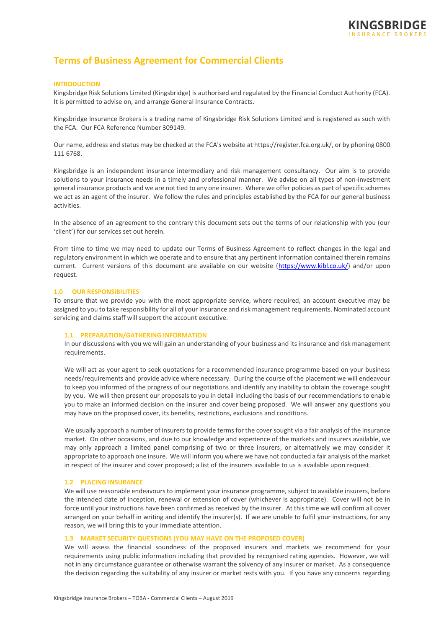

# **Terms of Business Agreement for Commercial Clients**

#### **INTRODUCTION**

Kingsbridge Risk Solutions Limited (Kingsbridge) is authorised and regulated by the Financial Conduct Authority (FCA). It is permitted to advise on, and arrange General Insurance Contracts.

Kingsbridge Insurance Brokers is a trading name of Kingsbridge Risk Solutions Limited and is registered as such with the FCA. Our FCA Reference Number 309149.

Our name, address and status may be checked at the FCA's website at https://register.fca.org.uk/, or by phoning 0800 111 6768.

Kingsbridge is an independent insurance intermediary and risk management consultancy. Our aim is to provide solutions to your insurance needs in a timely and professional manner. We advise on all types of non-investment general insurance products and we are not tied to any one insurer. Where we offer policies as part of specific schemes we act as an agent of the insurer. We follow the rules and principles established by the FCA for our general business activities.

In the absence of an agreement to the contrary this document sets out the terms of our relationship with you (our 'client') for our services set out herein.

From time to time we may need to update our Terms of Business Agreement to reflect changes in the legal and regulatory environment in which we operate and to ensure that any pertinent information contained therein remains current. Current versions of this document are available on our website [\(https://www.kibl.co.uk/\)](https://www.kibl.co.uk/) and/or upon request.

# **1.0 OUR RESPONSIBILITIES**

To ensure that we provide you with the most appropriate service, where required, an account executive may be assigned to you to take responsibility for all of your insurance and risk management requirements. Nominated account servicing and claims staff will support the account executive.

#### **1.1 PREPARATION/GATHERING INFORMATION**

In our discussions with you we will gain an understanding of your business and its insurance and risk management requirements.

We will act as your agent to seek quotations for a recommended insurance programme based on your business needs/requirements and provide advice where necessary. During the course of the placement we will endeavour to keep you informed of the progress of our negotiations and identify any inability to obtain the coverage sought by you. We will then present our proposals to you in detail including the basis of our recommendations to enable you to make an informed decision on the insurer and cover being proposed. We will answer any questions you may have on the proposed cover, its benefits, restrictions, exclusions and conditions.

We usually approach a number of insurers to provide terms for the cover sought via a fair analysis of the insurance market. On other occasions, and due to our knowledge and experience of the markets and insurers available, we may only approach a limited panel comprising of two or three insurers, or alternatively we may consider it appropriate to approach one insure. We will inform you where we have not conducted a fair analysis of the market in respect of the insurer and cover proposed; a list of the insurers available to us is available upon request.

# **1.2 PLACING INSURANCE**

We will use reasonable endeavours to implement your insurance programme, subject to available insurers, before the intended date of inception, renewal or extension of cover (whichever is appropriate). Cover will not be in force until your instructions have been confirmed as received by the insurer. At this time we will confirm all cover arranged on your behalf in writing and identify the insurer(s). If we are unable to fulfil your instructions, for any reason, we will bring this to your immediate attention.

#### **1.3 MARKET SECURITY QUESTIONS (YOU MAY HAVE ON THE PROPOSED COVER)**

We will assess the financial soundness of the proposed insurers and markets we recommend for your requirements using public information including that provided by recognised rating agencies. However, we will not in any circumstance guarantee or otherwise warrant the solvency of any insurer or market. As a consequence the decision regarding the suitability of any insurer or market rests with you. If you have any concerns regarding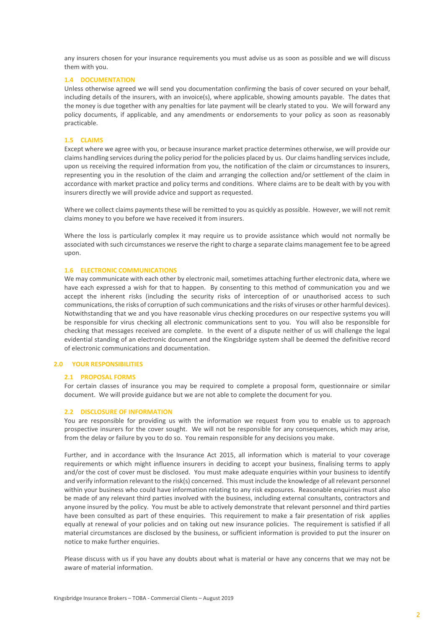any insurers chosen for your insurance requirements you must advise us as soon as possible and we will discuss them with you.

# **1.4 DOCUMENTATION**

Unless otherwise agreed we will send you documentation confirming the basis of cover secured on your behalf, including details of the insurers, with an invoice(s), where applicable, showing amounts payable. The dates that the money is due together with any penalties for late payment will be clearly stated to you. We will forward any policy documents, if applicable, and any amendments or endorsements to your policy as soon as reasonably practicable.

## **1.5 CLAIMS**

Except where we agree with you, or because insurance market practice determines otherwise, we will provide our claims handling services during the policy period for the policies placed by us. Our claims handling services include, upon us receiving the required information from you, the notification of the claim or circumstances to insurers, representing you in the resolution of the claim and arranging the collection and/or settlement of the claim in accordance with market practice and policy terms and conditions. Where claims are to be dealt with by you with insurers directly we will provide advice and support as requested.

Where we collect claims payments these will be remitted to you as quickly as possible. However, we will not remit claims money to you before we have received it from insurers.

Where the loss is particularly complex it may require us to provide assistance which would not normally be associated with such circumstances we reserve the right to charge a separate claims management fee to be agreed upon.

#### **1.6 ELECTRONIC COMMUNICATIONS**

We may communicate with each other by electronic mail, sometimes attaching further electronic data, where we have each expressed a wish for that to happen. By consenting to this method of communication you and we accept the inherent risks (including the security risks of interception of or unauthorised access to such communications, the risks of corruption of such communications and the risks of viruses or other harmful devices). Notwithstanding that we and you have reasonable virus checking procedures on our respective systems you will be responsible for virus checking all electronic communications sent to you. You will also be responsible for checking that messages received are complete. In the event of a dispute neither of us will challenge the legal evidential standing of an electronic document and the Kingsbridge system shall be deemed the definitive record of electronic communications and documentation.

# **2.0 YOUR RESPONSIBILITIES**

#### **2.1 PROPOSAL FORMS**

For certain classes of insurance you may be required to complete a proposal form, questionnaire or similar document. We will provide guidance but we are not able to complete the document for you.

#### **2.2 DISCLOSURE OF INFORMATION**

You are responsible for providing us with the information we request from you to enable us to approach prospective insurers for the cover sought. We will not be responsible for any consequences, which may arise, from the delay or failure by you to do so. You remain responsible for any decisions you make.

Further, and in accordance with the Insurance Act 2015, all information which is material to your coverage requirements or which might influence insurers in deciding to accept your business, finalising terms to apply and/or the cost of cover must be disclosed. You must make adequate enquiries within your business to identify and verify information relevant to the risk(s) concerned. This must include the knowledge of all relevant personnel within your business who could have information relating to any risk exposures. Reasonable enquiries must also be made of any relevant third parties involved with the business, including external consultants, contractors and anyone insured by the policy. You must be able to actively demonstrate that relevant personnel and third parties have been consulted as part of these enquiries. This requirement to make a fair presentation of risk applies equally at renewal of your policies and on taking out new insurance policies. The requirement is satisfied if all material circumstances are disclosed by the business, or sufficient information is provided to put the insurer on notice to make further enquiries.

Please discuss with us if you have any doubts about what is material or have any concerns that we may not be aware of material information.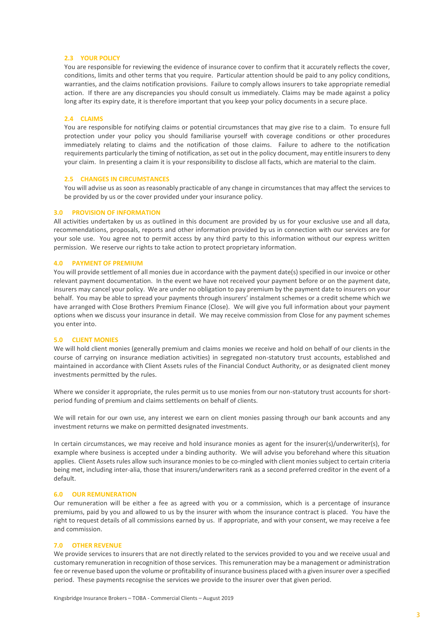#### **2.3 YOUR POLICY**

You are responsible for reviewing the evidence of insurance cover to confirm that it accurately reflects the cover, conditions, limits and other terms that you require. Particular attention should be paid to any policy conditions, warranties, and the claims notification provisions. Failure to comply allows insurers to take appropriate remedial action. If there are any discrepancies you should consult us immediately. Claims may be made against a policy long after its expiry date, it is therefore important that you keep your policy documents in a secure place.

#### **2.4 CLAIMS**

You are responsible for notifying claims or potential circumstances that may give rise to a claim. To ensure full protection under your policy you should familiarise yourself with coverage conditions or other procedures immediately relating to claims and the notification of those claims. Failure to adhere to the notification requirements particularly the timing of notification, as set out in the policy document, may entitle insurers to deny your claim. In presenting a claim it is your responsibility to disclose all facts, which are material to the claim.

## **2.5 CHANGES IN CIRCUMSTANCES**

You will advise us as soon as reasonably practicable of any change in circumstances that may affect the services to be provided by us or the cover provided under your insurance policy.

#### **3.0 PROVISION OF INFORMATION**

All activities undertaken by us as outlined in this document are provided by us for your exclusive use and all data, recommendations, proposals, reports and other information provided by us in connection with our services are for your sole use. You agree not to permit access by any third party to this information without our express written permission. We reserve our rights to take action to protect proprietary information.

#### **4.0 PAYMENT OF PREMIUM**

You will provide settlement of all monies due in accordance with the payment date(s) specified in our invoice or other relevant payment documentation. In the event we have not received your payment before or on the payment date, insurers may cancel your policy. We are under no obligation to pay premium by the payment date to insurers on your behalf. You may be able to spread your payments through insurers' instalment schemes or a credit scheme which we have arranged with Close Brothers Premium Finance (Close). We will give you full information about your payment options when we discuss your insurance in detail. We may receive commission from Close for any payment schemes you enter into.

# **5.0 CLIENT MONIES**

We will hold client monies (generally premium and claims monies we receive and hold on behalf of our clients in the course of carrying on insurance mediation activities) in segregated non-statutory trust accounts, established and maintained in accordance with Client Assets rules of the Financial Conduct Authority, or as designated client money investments permitted by the rules.

Where we consider it appropriate, the rules permit us to use monies from our non-statutory trust accounts for shortperiod funding of premium and claims settlements on behalf of clients.

We will retain for our own use, any interest we earn on client monies passing through our bank accounts and any investment returns we make on permitted designated investments.

In certain circumstances, we may receive and hold insurance monies as agent for the insurer(s)/underwriter(s), for example where business is accepted under a binding authority. We will advise you beforehand where this situation applies. Client Assets rules allow such insurance monies to be co-mingled with client monies subject to certain criteria being met, including inter-alia, those that insurers/underwriters rank as a second preferred creditor in the event of a default.

## **6.0 OUR REMUNERATION**

Our remuneration will be either a fee as agreed with you or a commission, which is a percentage of insurance premiums, paid by you and allowed to us by the insurer with whom the insurance contract is placed. You have the right to request details of all commissions earned by us. If appropriate, and with your consent, we may receive a fee and commission.

## **7.0 OTHER REVENUE**

We provide services to insurers that are not directly related to the services provided to you and we receive usual and customary remuneration in recognition of those services. This remuneration may be a management or administration fee or revenue based upon the volume or profitability of insurance business placed with a given insurer over a specified period. These payments recognise the services we provide to the insurer over that given period.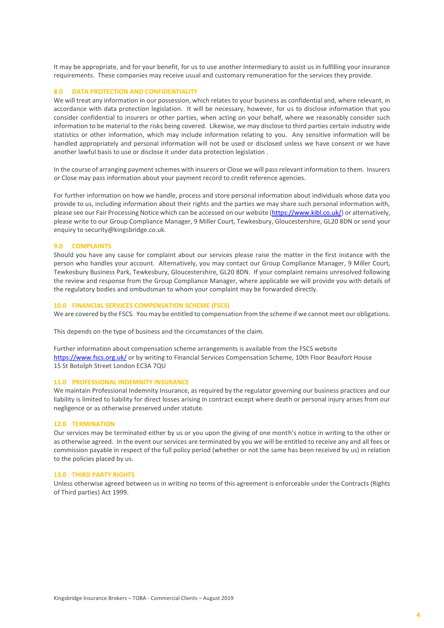It may be appropriate, and for your benefit, for us to use another Intermediary to assist us in fulfilling your insurance requirements. These companies may receive usual and customary remuneration for the services they provide.

#### **8.0 DATA PROTECTION AND CONFIDENTIALITY**

We will treat any information in our possession, which relates to your business as confidential and, where relevant, in accordance with data protection legislation. It will be necessary, however, for us to disclose information that you consider confidential to insurers or other parties, when acting on your behalf, where we reasonably consider such information to be material to the risks being covered. Likewise, we may disclose to third parties certain industry wide statistics or other information, which may include information relating to you. Any sensitive information will be handled appropriately and personal information will not be used or disclosed unless we have consent or we have another lawful basis to use or disclose it under data protection legislation .

In the course of arranging payment schemes with insurers or Close we will pass relevant information to them. Insurers or Close may pass information about your payment record to credit reference agencies.

For further information on how we handle, process and store personal information about individuals whose data you provide to us, including information about their rights and the parties we may share such personal information with, please see our Fair Processing Notice which can be accessed on our website [\(https://www.kibl.co.uk/\)](https://www.kibl.co.uk/) or alternatively, please write to our Group Compliance Manager, 9 Miller Court, Tewkesbury, Gloucestershire, GL20 8DN or send your enquiry to security@kingsbridge.co.uk.

#### **9.0 COMPLAINTS**

Should you have any cause for complaint about our services please raise the matter in the first instance with the person who handles your account. Alternatively, you may contact our Group Compliance Manager, 9 Miller Court, Tewkesbury Business Park, Tewkesbury, Gloucestershire, GL20 8DN. If your complaint remains unresolved following the review and response from the Group Compliance Manager, where applicable we will provide you with details of the regulatory bodies and ombudsman to whom your complaint may be forwarded directly.

#### **10.0 FINANCIAL SERVICES COMPENSATION SCHEME (FSCS)**

We are covered by the FSCS. You may be entitled to compensation from the scheme if we cannot meet our obligations.

This depends on the type of business and the circumstances of the claim.

Further information about compensation scheme arrangements is available from the FSCS website <https://www.fscs.org.uk/> or by writing to Financial Services Compensation Scheme, 10th Floor Beaufort House 15 St Botolph Street London EC3A 7QU

# **11.0 PROFESSIONAL INDEMNITY INSURANCE**

We maintain Professional Indemnity Insurance, as required by the regulator governing our business practices and our liability is limited to liability for direct losses arising in contract except where death or personal injury arises from our negligence or as otherwise preserved under statute.

#### **12.0 TERMINATION**

Our services may be terminated either by us or you upon the giving of one month's notice in writing to the other or as otherwise agreed. In the event our services are terminated by you we will be entitled to receive any and all fees or commission payable in respect of the full policy period (whether or not the same has been received by us) in relation to the policies placed by us.

#### **13.0 THIRD PARTY RIGHTS**

Unless otherwise agreed between us in writing no terms of this agreement is enforceable under the Contracts (Rights of Third parties) Act 1999.